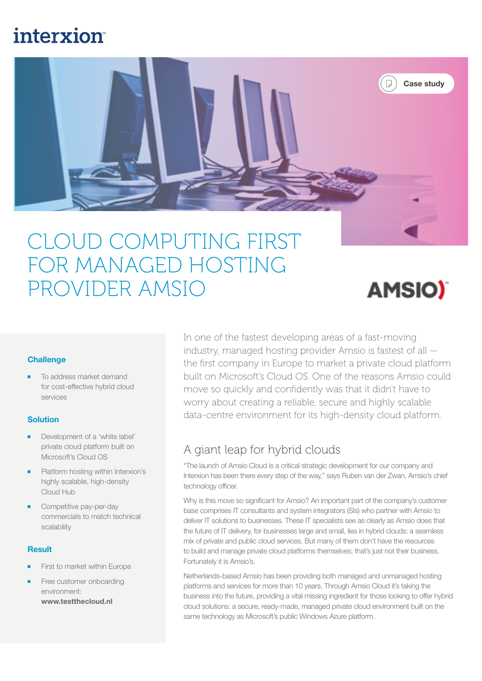# **interxion**



# CLOUD COMPUTING FIRST FOR MANAGED HOSTING PROVIDER AMSIO



### **Challenge**

To address market demand for cost-effective hybrid cloud services

#### **Solution**

- Development of a 'white label' private cloud platform built on Microsoft's Cloud OS
- Platform hosting within Interxion's highly scalable, high-density Cloud Hub
- Competitive pay-per-day commercials to match technical scalability

#### **Result**

- First to market within Europe
- Free customer onboarding environment: www.testthecloud.nl

In one of the fastest developing areas of a fast-moving industry, managed hosting provider Amsio is fastest of all the first company in Europe to market a private cloud platform built on Microsoft's Cloud OS. One of the reasons Amsio could move so quickly and confidently was that it didn't have to worry about creating a reliable, secure and highly scalable data-centre environment for its high-density cloud platform.

# A giant leap for hybrid clouds

"The launch of Amsio Cloud is a critical strategic development for our company and Interxion has been there every step of the way," says Ruben van der Zwan, Amsio's chief technology officer.

Why is this move so significant for Amsio? An important part of the company's customer base comprises IT consultants and system integrators (SIs) who partner with Amsio to deliver IT solutions to businesses. These IT specialists see as clearly as Amsio does that the future of IT delivery, for businesses large and small, lies in hybrid clouds: a seamless mix of private and public cloud services. But many of them don't have the resources to build and manage private cloud platforms themselves; that's just not their business. Fortunately it is Amsio's.

Netherlands-based Amsio has been providing both managed and unmanaged hosting platforms and services for more than 10 years. Through Amsio Cloud it's taking the business into the future, providing a vital missing ingredient for those looking to offer hybrid cloud solutions: a secure, ready-made, managed private cloud environment built on the same technology as Microsoft's public Windows Azure platform.